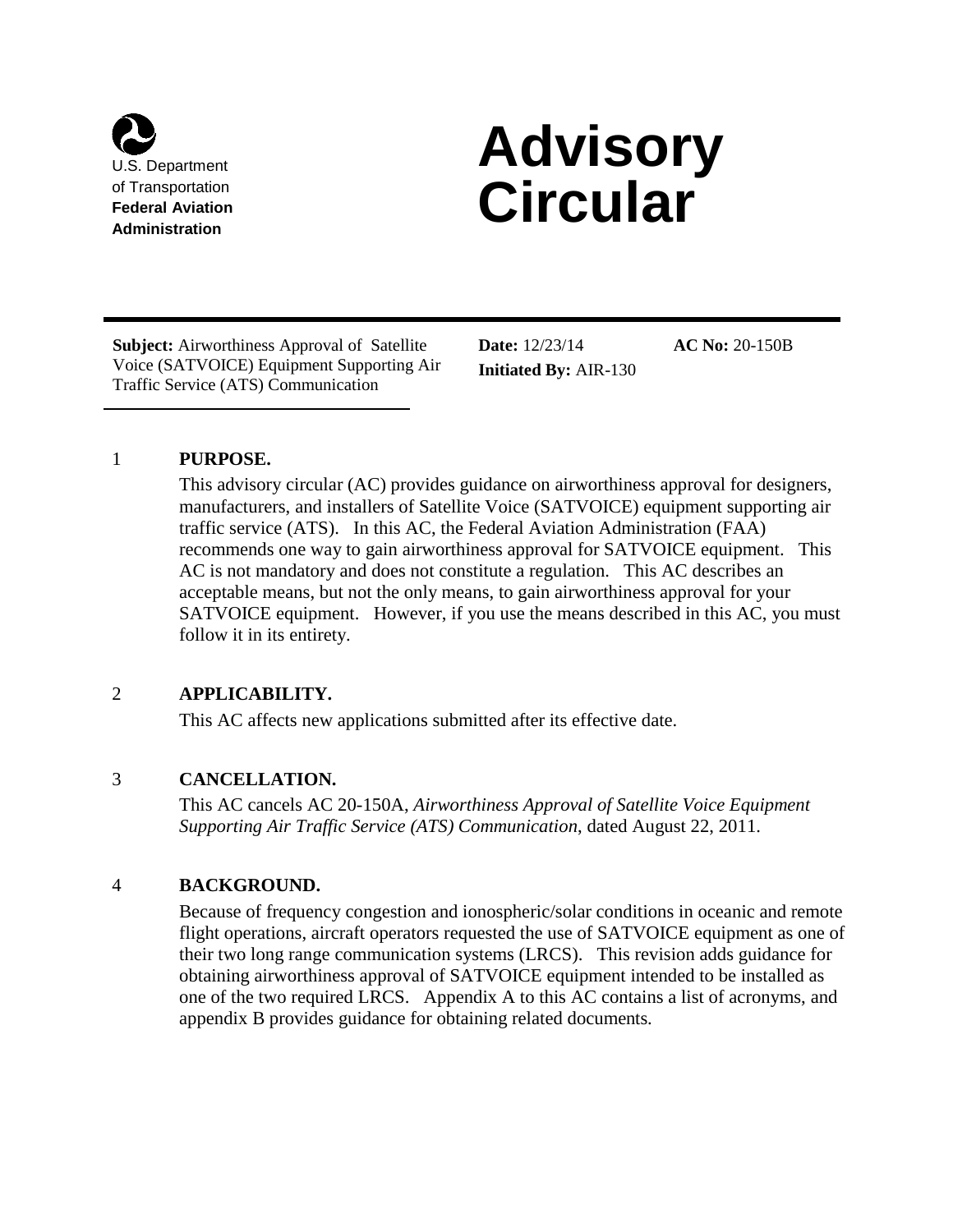

# **Advisory**  of Transportation<br>Federal Aviation<br>Administration

**Subject:** Airworthiness Approval of Satellite **Date:** 12/23/14 **AC No:** 20-150B Voice (SATVOICE) Equipment Supporting Air **Initiated By:** AIR-130 Traffic Service (ATS) Communication

## 1 **PURPOSE.**

This advisory circular (AC) provides guidance on airworthiness approval for designers, manufacturers, and installers of Satellite Voice (SATVOICE) equipment supporting air traffic service (ATS). In this AC, the Federal Aviation Administration (FAA) recommends one way to gain airworthiness approval for SATVOICE equipment. This AC is not mandatory and does not constitute a regulation. This AC describes an acceptable means, but not the only means, to gain airworthiness approval for your SATVOICE equipment. However, if you use the means described in this AC, you must follow it in its entirety.

## 2 **APPLICABILITY.**

This AC affects new applications submitted after its effective date.

## 3 **CANCELLATION.**

This AC cancels AC 20-150A, *Airworthiness Approval of Satellite Voice Equipment Supporting Air Traffic Service (ATS) Communication*, dated August 22, 2011.

## 4 **BACKGROUND.**

Because of frequency congestion and ionospheric/solar conditions in oceanic and remote flight operations, aircraft operators requested the use of SATVOICE equipment as one of their two long range communication systems (LRCS). This revision adds guidance for obtaining airworthiness approval of SATVOICE equipment intended to be installed as one of the two required LRCS. Appendix A to this AC contains a list of acronyms, and appendix B provides guidance for obtaining related documents.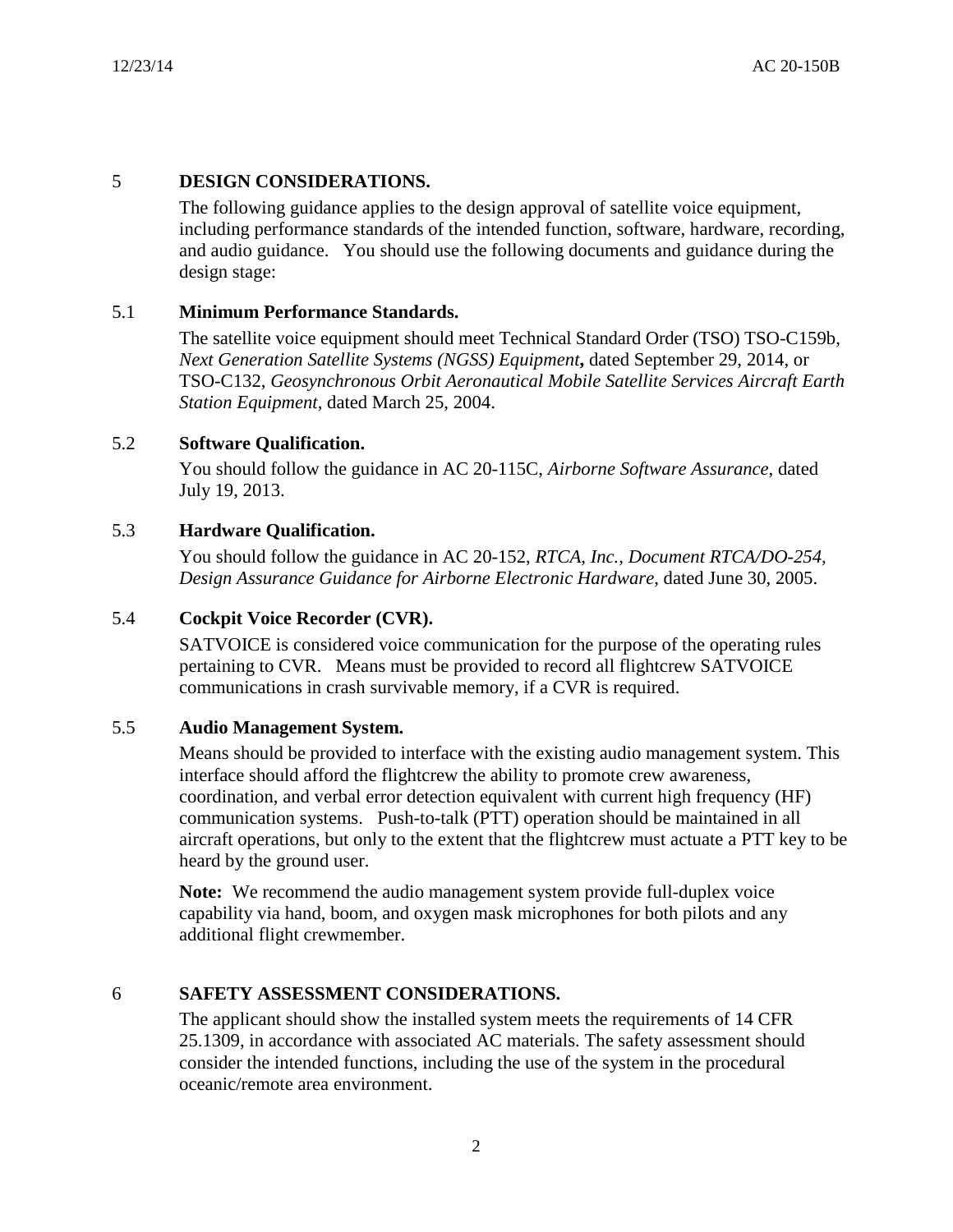## 5 **DESIGN CONSIDERATIONS.**

The following guidance applies to the design approval of satellite voice equipment, including performance standards of the intended function, software, hardware, recording, and audio guidance. You should use the following documents and guidance during the design stage:

## 5.1 **Minimum Performance Standards.**

The satellite voice equipment should meet Technical Standard Order (TSO) TSO-C159b, *Next Generation Satellite Systems (NGSS) Equipment***,** dated September 29, 2014, or TSO-C132, *Geosynchronous Orbit Aeronautical Mobile Satellite Services Aircraft Earth Station Equipment*, dated March 25, 2004.

## 5.2 **Software Qualification.**

You should follow the guidance in AC 20-115C, *Airborne Software Assurance*, dated July 19, 2013.

## 5.3 **Hardware Qualification.**

You should follow the guidance in AC 20-152, *RTCA, Inc., Document RTCA/DO-254, Design Assurance Guidance for Airborne Electronic Hardware*, dated June 30, 2005.

## 5.4 **Cockpit Voice Recorder (CVR).**

SATVOICE is considered voice communication for the purpose of the operating rules pertaining to CVR. Means must be provided to record all flightcrew SATVOICE communications in crash survivable memory, if a CVR is required.

## 5.5 **Audio Management System.**

Means should be provided to interface with the existing audio management system. This interface should afford the flightcrew the ability to promote crew awareness, coordination, and verbal error detection equivalent with current high frequency (HF) communication systems. Push-to-talk (PTT) operation should be maintained in all aircraft operations, but only to the extent that the flightcrew must actuate a PTT key to be heard by the ground user.

**Note:** We recommend the audio management system provide full-duplex voice capability via hand, boom, and oxygen mask microphones for both pilots and any additional flight crewmember.

## 6 **SAFETY ASSESSMENT CONSIDERATIONS.**

The applicant should show the installed system meets the requirements of 14 CFR 25.1309, in accordance with associated AC materials. The safety assessment should consider the intended functions, including the use of the system in the procedural oceanic/remote area environment.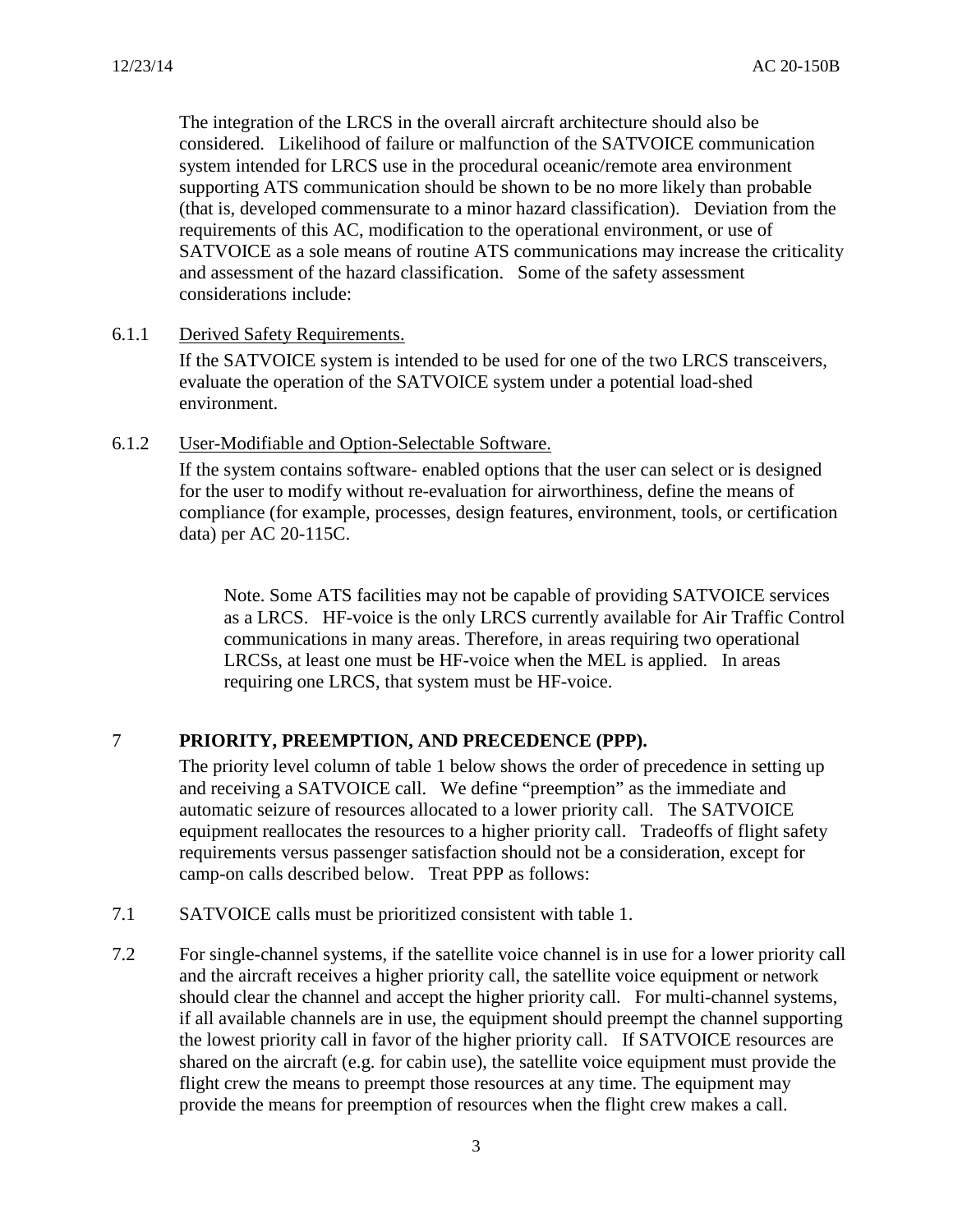The integration of the LRCS in the overall aircraft architecture should also be considered. Likelihood of failure or malfunction of the SATVOICE communication system intended for LRCS use in the procedural oceanic/remote area environment supporting ATS communication should be shown to be no more likely than probable (that is, developed commensurate to a minor hazard classification). Deviation from the requirements of this AC, modification to the operational environment, or use of SATVOICE as a sole means of routine ATS communications may increase the criticality and assessment of the hazard classification. Some of the safety assessment considerations include:

6.1.1 Derived Safety Requirements.

If the SATVOICE system is intended to be used for one of the two LRCS transceivers, evaluate the operation of the SATVOICE system under a potential load-shed environment.

6.1.2 User-Modifiable and Option-Selectable Software.

If the system contains software- enabled options that the user can select or is designed for the user to modify without re-evaluation for airworthiness, define the means of compliance (for example, processes, design features, environment, tools, or certification data) per AC 20-115C.

Note. Some ATS facilities may not be capable of providing SATVOICE services as a LRCS. HF-voice is the only LRCS currently available for Air Traffic Control communications in many areas. Therefore, in areas requiring two operational LRCSs, at least one must be HF-voice when the MEL is applied. In areas requiring one LRCS, that system must be HF-voice.

## 7 **PRIORITY, PREEMPTION, AND PRECEDENCE (PPP).**

The priority level column of table 1 below shows the order of precedence in setting up and receiving a SATVOICE call. We define "preemption" as the immediate and automatic seizure of resources allocated to a lower priority call. The SATVOICE equipment reallocates the resources to a higher priority call. Tradeoffs of flight safety requirements versus passenger satisfaction should not be a consideration, except for camp-on calls described below. Treat PPP as follows:

- 7.1 SATVOICE calls must be prioritized consistent with table 1.
- 7.2 For single-channel systems, if the satellite voice channel is in use for a lower priority call and the aircraft receives a higher priority call, the satellite voice equipment or network should clear the channel and accept the higher priority call. For multi-channel systems, if all available channels are in use, the equipment should preempt the channel supporting the lowest priority call in favor of the higher priority call. If SATVOICE resources are shared on the aircraft (e.g. for cabin use), the satellite voice equipment must provide the flight crew the means to preempt those resources at any time. The equipment may provide the means for preemption of resources when the flight crew makes a call.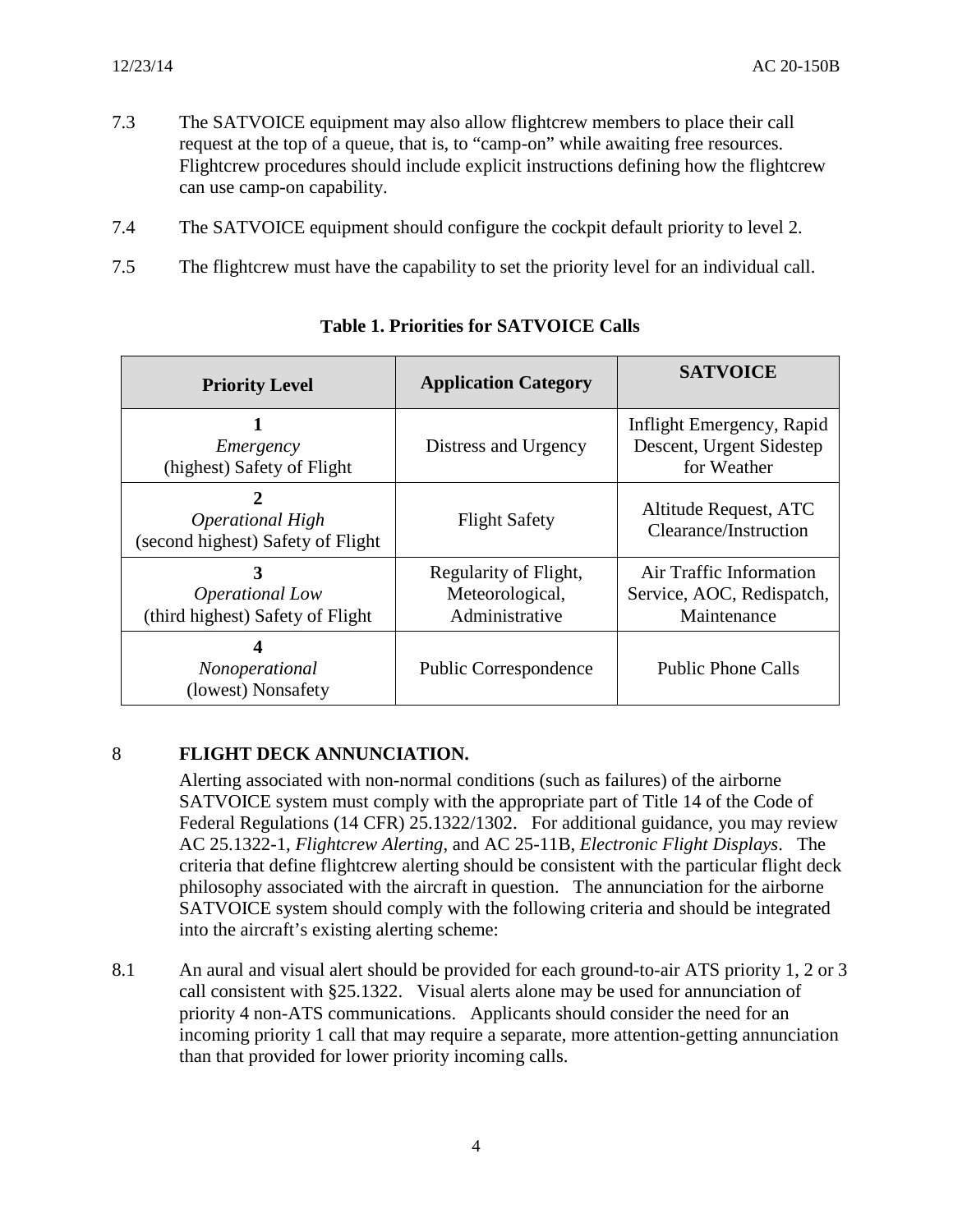- 7.3 The SATVOICE equipment may also allow flightcrew members to place their call request at the top of a queue, that is, to "camp-on" while awaiting free resources. Flightcrew procedures should include explicit instructions defining how the flightcrew can use camp-on capability.
- 7.4 The SATVOICE equipment should configure the cockpit default priority to level 2.
- 7.5 The flightcrew must have the capability to set the priority level for an individual call.

| <b>Priority Level</b>                                        | <b>Application Category</b>                                | <b>SATVOICE</b>                                                      |
|--------------------------------------------------------------|------------------------------------------------------------|----------------------------------------------------------------------|
| Emergency<br>(highest) Safety of Flight                      | Distress and Urgency                                       | Inflight Emergency, Rapid<br>Descent, Urgent Sidestep<br>for Weather |
| <b>Operational High</b><br>(second highest) Safety of Flight | <b>Flight Safety</b>                                       | Altitude Request, ATC<br>Clearance/Instruction                       |
| 3<br>Operational Low<br>(third highest) Safety of Flight     | Regularity of Flight,<br>Meteorological,<br>Administrative | Air Traffic Information<br>Service, AOC, Redispatch,<br>Maintenance  |
| Nonoperational<br>(lowest) Nonsafety                         | <b>Public Correspondence</b>                               | <b>Public Phone Calls</b>                                            |

## **Table 1. Priorities for SATVOICE Calls**

## 8 **FLIGHT DECK ANNUNCIATION.**

Alerting associated with non-normal conditions (such as failures) of the airborne SATVOICE system must comply with the appropriate part of Title 14 of the Code of Federal Regulations (14 CFR) 25.1322/1302. For additional guidance, you may review AC 25.1322-1, *Flightcrew Alerting*, and AC 25-11B, *Electronic Flight Displays*. The criteria that define flightcrew alerting should be consistent with the particular flight deck philosophy associated with the aircraft in question. The annunciation for the airborne SATVOICE system should comply with the following criteria and should be integrated into the aircraft's existing alerting scheme:

8.1 An aural and visual alert should be provided for each ground-to-air ATS priority 1, 2 or 3 call consistent with §25.1322. Visual alerts alone may be used for annunciation of priority 4 non-ATS communications. Applicants should consider the need for an incoming priority 1 call that may require a separate, more attention-getting annunciation than that provided for lower priority incoming calls.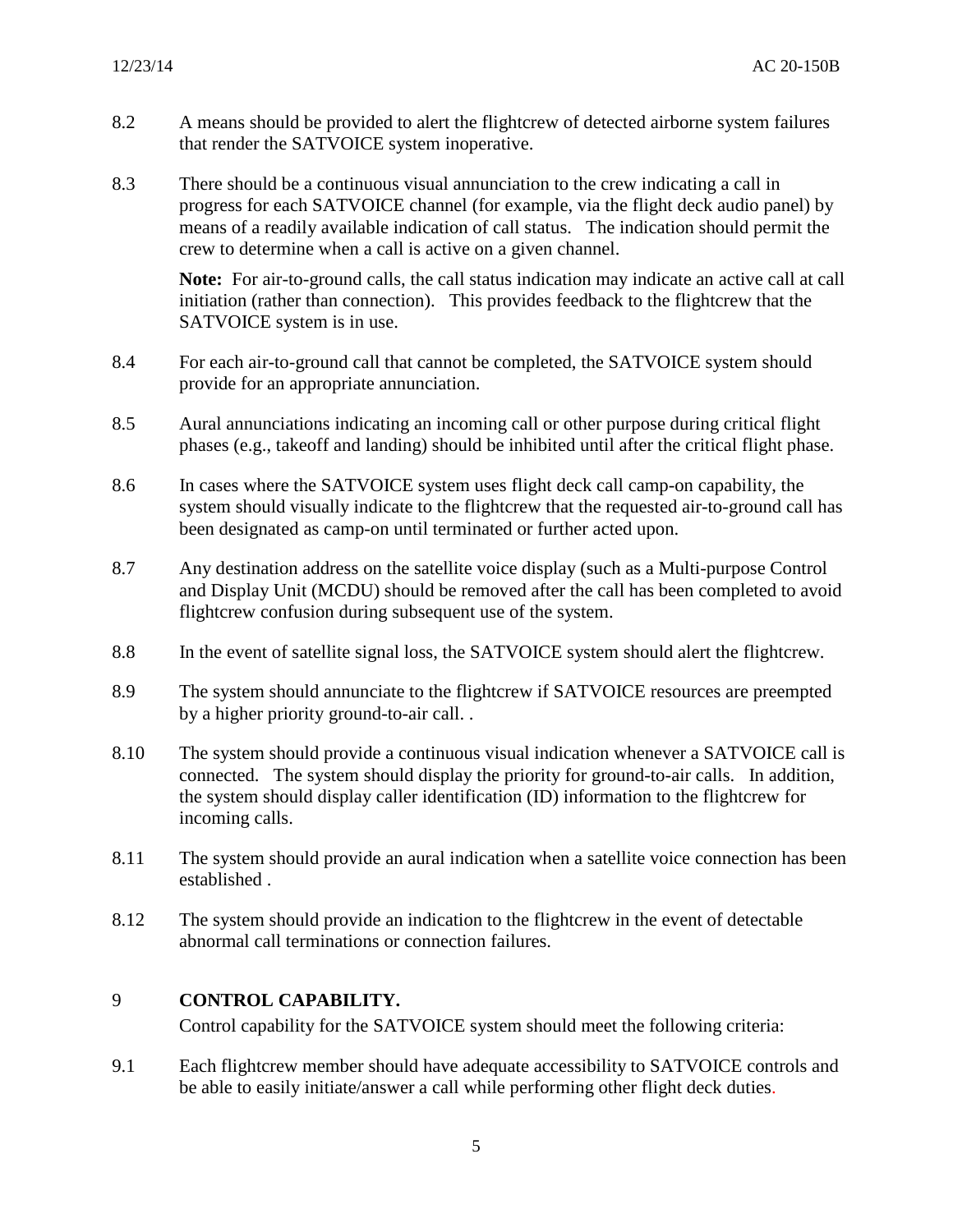- 8.2 A means should be provided to alert the flightcrew of detected airborne system failures that render the SATVOICE system inoperative.
- 8.3 There should be a continuous visual annunciation to the crew indicating a call in progress for each SATVOICE channel (for example, via the flight deck audio panel) by means of a readily available indication of call status. The indication should permit the crew to determine when a call is active on a given channel.

**Note:** For air-to-ground calls, the call status indication may indicate an active call at call initiation (rather than connection). This provides feedback to the flightcrew that the SATVOICE system is in use.

- 8.4 For each air-to-ground call that cannot be completed, the SATVOICE system should provide for an appropriate annunciation.
- 8.5 Aural annunciations indicating an incoming call or other purpose during critical flight phases (e.g., takeoff and landing) should be inhibited until after the critical flight phase.
- 8.6 In cases where the SATVOICE system uses flight deck call camp-on capability, the system should visually indicate to the flightcrew that the requested air-to-ground call has been designated as camp-on until terminated or further acted upon.
- 8.7 Any destination address on the satellite voice display (such as a Multi-purpose Control and Display Unit (MCDU) should be removed after the call has been completed to avoid flightcrew confusion during subsequent use of the system.
- 8.8 In the event of satellite signal loss, the SATVOICE system should alert the flightcrew.
- 8.9 The system should annunciate to the flightcrew if SATVOICE resources are preempted by a higher priority ground-to-air call. .
- 8.10 The system should provide a continuous visual indication whenever a SATVOICE call is connected. The system should display the priority for ground-to-air calls. In addition, the system should display caller identification (ID) information to the flightcrew for incoming calls.
- 8.11 The system should provide an aural indication when a satellite voice connection has been established .
- 8.12 The system should provide an indication to the flightcrew in the event of detectable abnormal call terminations or connection failures.

## 9 **CONTROL CAPABILITY.**

Control capability for the SATVOICE system should meet the following criteria:

9.1 Each flightcrew member should have adequate accessibility to SATVOICE controls and be able to easily initiate/answer a call while performing other flight deck duties.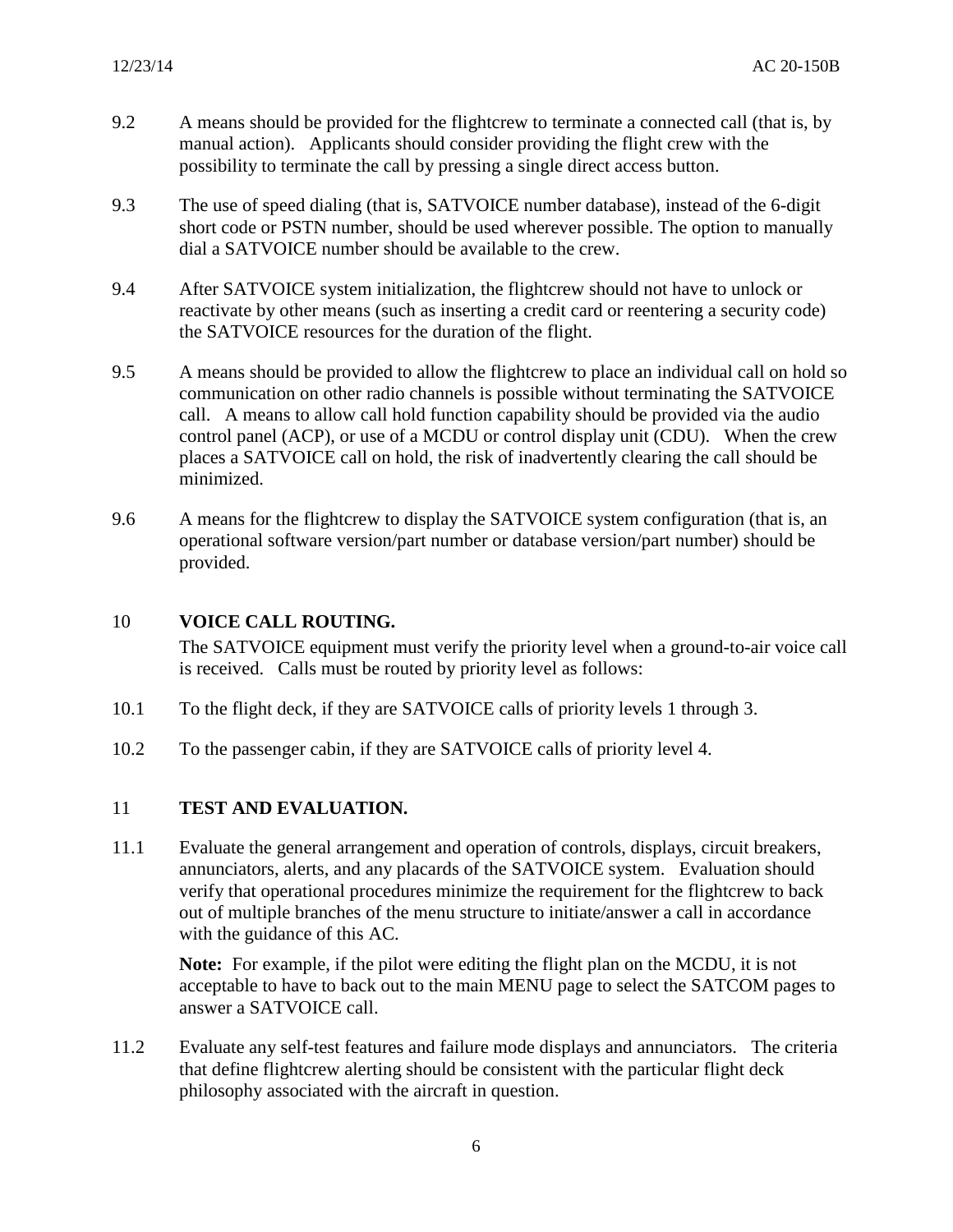- 9.2 A means should be provided for the flightcrew to terminate a connected call (that is, by manual action). Applicants should consider providing the flight crew with the possibility to terminate the call by pressing a single direct access button.
- 9.3 The use of speed dialing (that is, SATVOICE number database), instead of the 6-digit short code or PSTN number, should be used wherever possible. The option to manually dial a SATVOICE number should be available to the crew.
- 9.4 After SATVOICE system initialization, the flightcrew should not have to unlock or reactivate by other means (such as inserting a credit card or reentering a security code) the SATVOICE resources for the duration of the flight.
- 9.5 A means should be provided to allow the flightcrew to place an individual call on hold so communication on other radio channels is possible without terminating the SATVOICE call. A means to allow call hold function capability should be provided via the audio control panel (ACP), or use of a MCDU or control display unit (CDU). When the crew places a SATVOICE call on hold, the risk of inadvertently clearing the call should be minimized.
- 9.6 A means for the flightcrew to display the SATVOICE system configuration (that is, an operational software version/part number or database version/part number) should be provided.

## 10 **VOICE CALL ROUTING.**

The SATVOICE equipment must verify the priority level when a ground-to-air voice call is received. Calls must be routed by priority level as follows:

- 10.1 To the flight deck, if they are SATVOICE calls of priority levels 1 through 3.
- 10.2 To the passenger cabin, if they are SATVOICE calls of priority level 4.

## 11 **TEST AND EVALUATION.**

11.1 Evaluate the general arrangement and operation of controls, displays, circuit breakers, annunciators, alerts, and any placards of the SATVOICE system. Evaluation should verify that operational procedures minimize the requirement for the flightcrew to back out of multiple branches of the menu structure to initiate/answer a call in accordance with the guidance of this AC.

**Note:** For example, if the pilot were editing the flight plan on the MCDU, it is not acceptable to have to back out to the main MENU page to select the SATCOM pages to answer a SATVOICE call.

11.2 Evaluate any self-test features and failure mode displays and annunciators. The criteria that define flightcrew alerting should be consistent with the particular flight deck philosophy associated with the aircraft in question.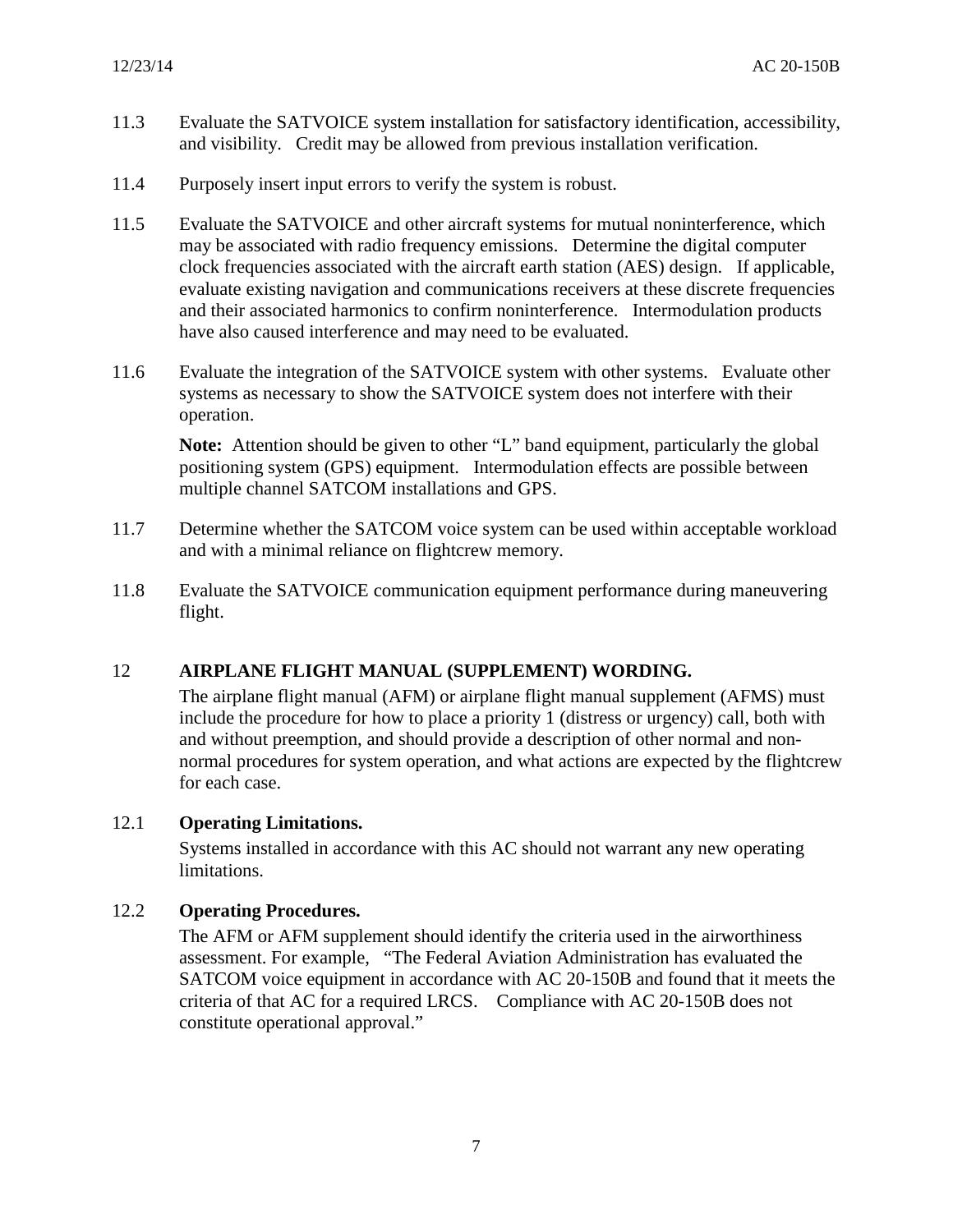- 11.3 Evaluate the SATVOICE system installation for satisfactory identification, accessibility, and visibility. Credit may be allowed from previous installation verification.
- 11.4 Purposely insert input errors to verify the system is robust.
- 11.5 Evaluate the SATVOICE and other aircraft systems for mutual noninterference, which may be associated with radio frequency emissions. Determine the digital computer clock frequencies associated with the aircraft earth station (AES) design. If applicable, evaluate existing navigation and communications receivers at these discrete frequencies and their associated harmonics to confirm noninterference. Intermodulation products have also caused interference and may need to be evaluated.
- 11.6 Evaluate the integration of the SATVOICE system with other systems. Evaluate other systems as necessary to show the SATVOICE system does not interfere with their operation.

**Note:** Attention should be given to other "L" band equipment, particularly the global positioning system (GPS) equipment. Intermodulation effects are possible between multiple channel SATCOM installations and GPS.

- 11.7 Determine whether the SATCOM voice system can be used within acceptable workload and with a minimal reliance on flightcrew memory.
- 11.8 Evaluate the SATVOICE communication equipment performance during maneuvering flight.

## 12 **AIRPLANE FLIGHT MANUAL (SUPPLEMENT) WORDING.**

The airplane flight manual (AFM) or airplane flight manual supplement (AFMS) must include the procedure for how to place a priority 1 (distress or urgency) call, both with and without preemption, and should provide a description of other normal and nonnormal procedures for system operation, and what actions are expected by the flightcrew for each case.

## 12.1 **Operating Limitations.**

Systems installed in accordance with this AC should not warrant any new operating limitations.

## 12.2 **Operating Procedures.**

The AFM or AFM supplement should identify the criteria used in the airworthiness assessment. For example, "The Federal Aviation Administration has evaluated the SATCOM voice equipment in accordance with AC 20-150B and found that it meets the criteria of that AC for a required LRCS. Compliance with AC 20-150B does not constitute operational approval."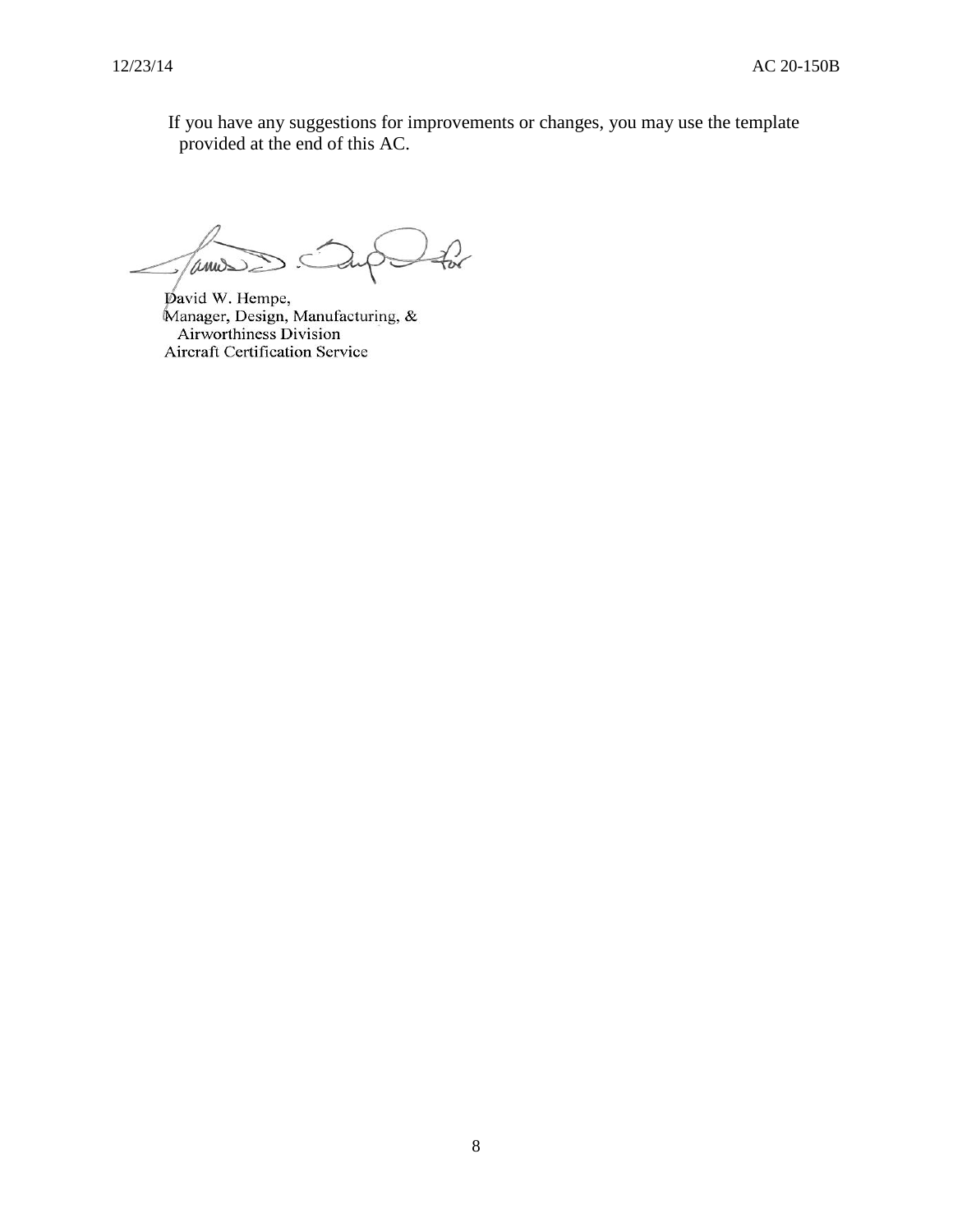If you have any suggestions for improvements or changes, you may use the template provided at the end of this AC.

 $f_{\alpha}$ Tannes ر

pavid W. Hempe, Manager, Design, Manufacturing, &<br>Airworthiness Division Aircraft Certification Service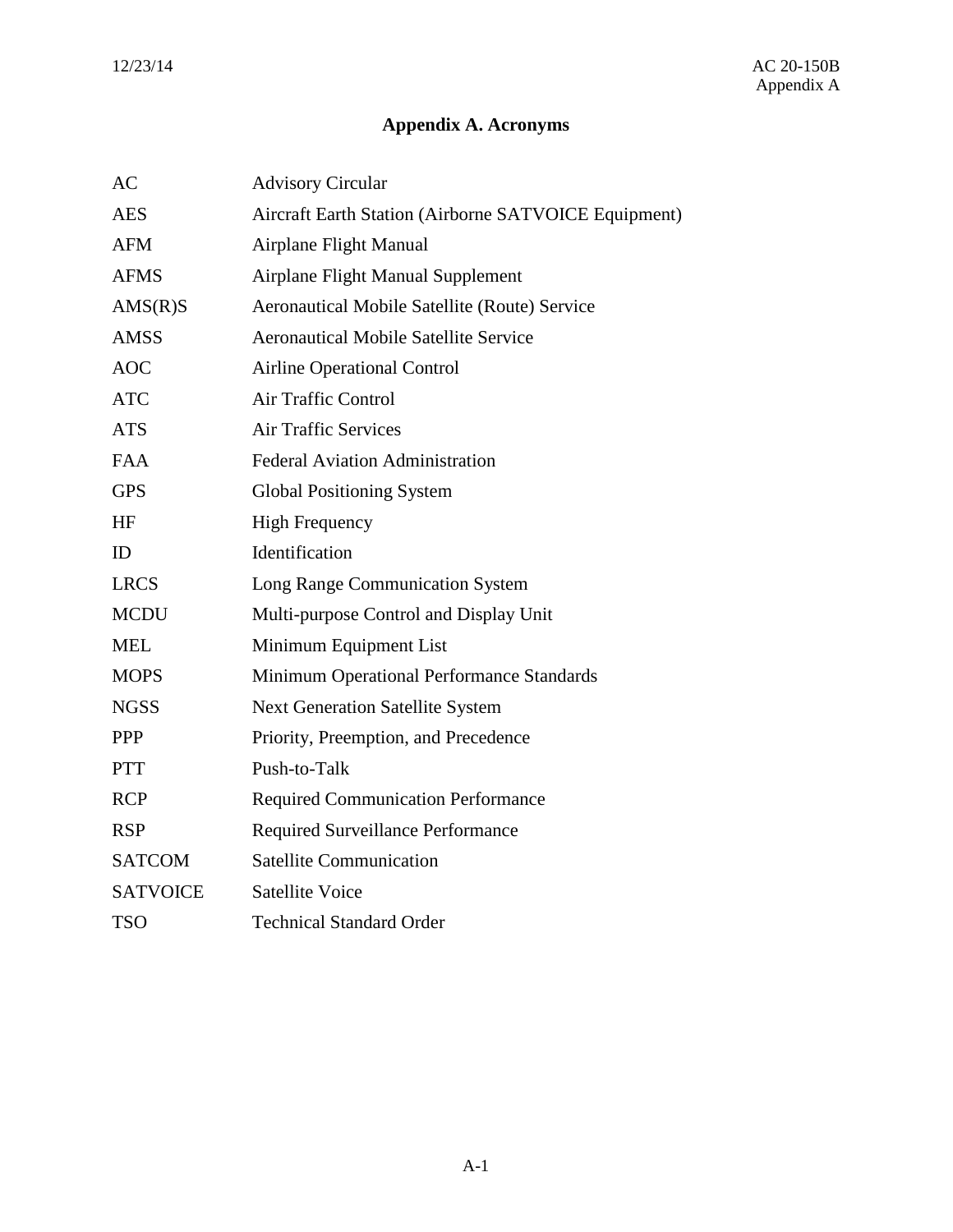## **Appendix A. Acronyms**

| AC              | <b>Advisory Circular</b>                             |
|-----------------|------------------------------------------------------|
| <b>AES</b>      | Aircraft Earth Station (Airborne SATVOICE Equipment) |
| <b>AFM</b>      | Airplane Flight Manual                               |
| <b>AFMS</b>     | Airplane Flight Manual Supplement                    |
| AMS(R)S         | <b>Aeronautical Mobile Satellite (Route) Service</b> |
| <b>AMSS</b>     | <b>Aeronautical Mobile Satellite Service</b>         |
| <b>AOC</b>      | <b>Airline Operational Control</b>                   |
| <b>ATC</b>      | <b>Air Traffic Control</b>                           |
| <b>ATS</b>      | <b>Air Traffic Services</b>                          |
| <b>FAA</b>      | <b>Federal Aviation Administration</b>               |
| <b>GPS</b>      | <b>Global Positioning System</b>                     |
| <b>HF</b>       | <b>High Frequency</b>                                |
| ID              | Identification                                       |
| <b>LRCS</b>     | Long Range Communication System                      |
| <b>MCDU</b>     | Multi-purpose Control and Display Unit               |
| <b>MEL</b>      | Minimum Equipment List                               |
| <b>MOPS</b>     | Minimum Operational Performance Standards            |
| <b>NGSS</b>     | <b>Next Generation Satellite System</b>              |
| <b>PPP</b>      | Priority, Preemption, and Precedence                 |
| <b>PTT</b>      | Push-to-Talk                                         |
| <b>RCP</b>      | <b>Required Communication Performance</b>            |
| <b>RSP</b>      | <b>Required Surveillance Performance</b>             |
| <b>SATCOM</b>   | <b>Satellite Communication</b>                       |
| <b>SATVOICE</b> | <b>Satellite Voice</b>                               |
| <b>TSO</b>      | <b>Technical Standard Order</b>                      |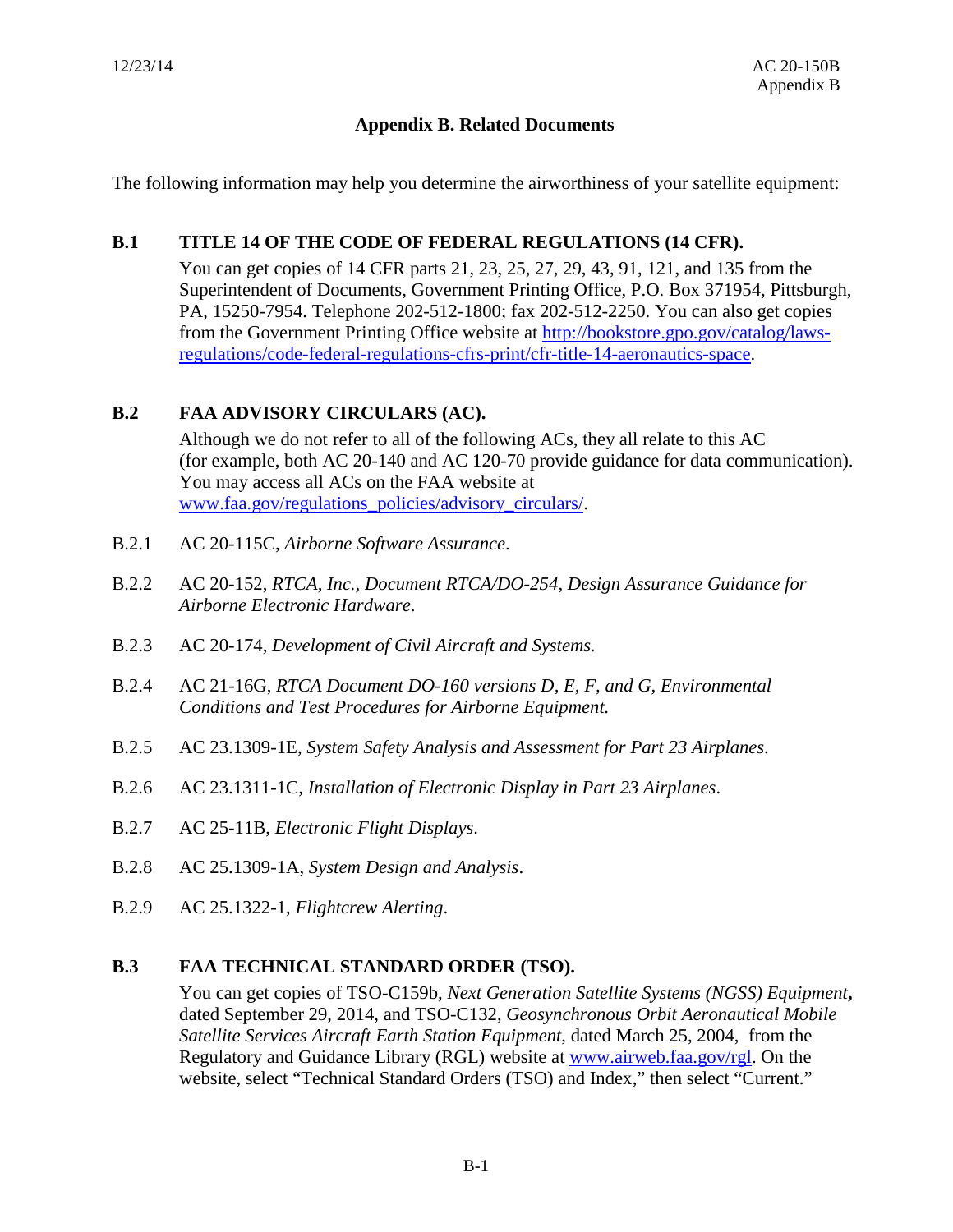## **Appendix B. Related Documents**

The following information may help you determine the airworthiness of your satellite equipment:

#### **B.1 TITLE 14 OF THE CODE OF FEDERAL REGULATIONS (14 CFR).**

You can get copies of 14 CFR parts 21, 23, 25, 27, 29, 43, 91, 121, and 135 from the Superintendent of Documents, Government Printing Office, P.O. Box 371954, Pittsburgh, PA, 15250-7954. Telephone 202-512-1800; fax 202-512-2250. You can also get copies from the Government Printing Office website at [http://bookstore.gpo.gov/catalog/laws](http://bookstore.gpo.gov/catalog/laws-regulations/code-federal-regulations-cfrs-print/cfr-title-14-aeronautics-space)[regulations/code-federal-regulations-cfrs-print/cfr-title-14-aeronautics-space.](http://bookstore.gpo.gov/catalog/laws-regulations/code-federal-regulations-cfrs-print/cfr-title-14-aeronautics-space)

## **B.2 FAA ADVISORY CIRCULARS (AC).**

Although we do not refer to all of the following ACs, they all relate to this AC (for example, both AC 20-140 and AC 120-70 provide guidance for data communication). You may access all ACs on the FAA website at [www.faa.gov/regulations\\_policies/advisory\\_circulars/.](http://www.faa.gov/regulations_policies/advisory_circulars/)

- B.2.1 AC 20-115C, *Airborne Software Assurance*.
- B.2.2 AC 20-152, *RTCA, Inc., Document RTCA/DO-254, Design Assurance Guidance for Airborne Electronic Hardware*.
- B.2.3 AC 20-174, *Development of Civil Aircraft and Systems.*
- B.2.4 AC 21-16G, *RTCA Document DO-160 versions D, E, F, and G, Environmental Conditions and Test Procedures for Airborne Equipment.*
- B.2.5 AC 23.1309-1E, *System Safety Analysis and Assessment for Part 23 Airplanes*.
- B.2.6 AC 23.1311-1C, *Installation of Electronic Display in Part 23 Airplanes*.
- B.2.7 AC 25-11B, *Electronic Flight Displays*.
- B.2.8 AC 25.1309-1A, *System Design and Analysis*.
- B.2.9 AC 25.1322-1, *Flightcrew Alerting*.

## **B.3 FAA TECHNICAL STANDARD ORDER (TSO).**

You can get copies of TSO-C159b, *Next Generation Satellite Systems (NGSS) Equipment***,**  dated September 29, 2014, and TSO-C132, *Geosynchronous Orbit Aeronautical Mobile Satellite Services Aircraft Earth Station Equipment*, dated March 25, 2004, from the Regulatory and Guidance Library (RGL) website at [www.airweb.faa.gov/rgl.](http://www.airweb.faa.gov/rgl) On the website, select "Technical Standard Orders (TSO) and Index," then select "Current."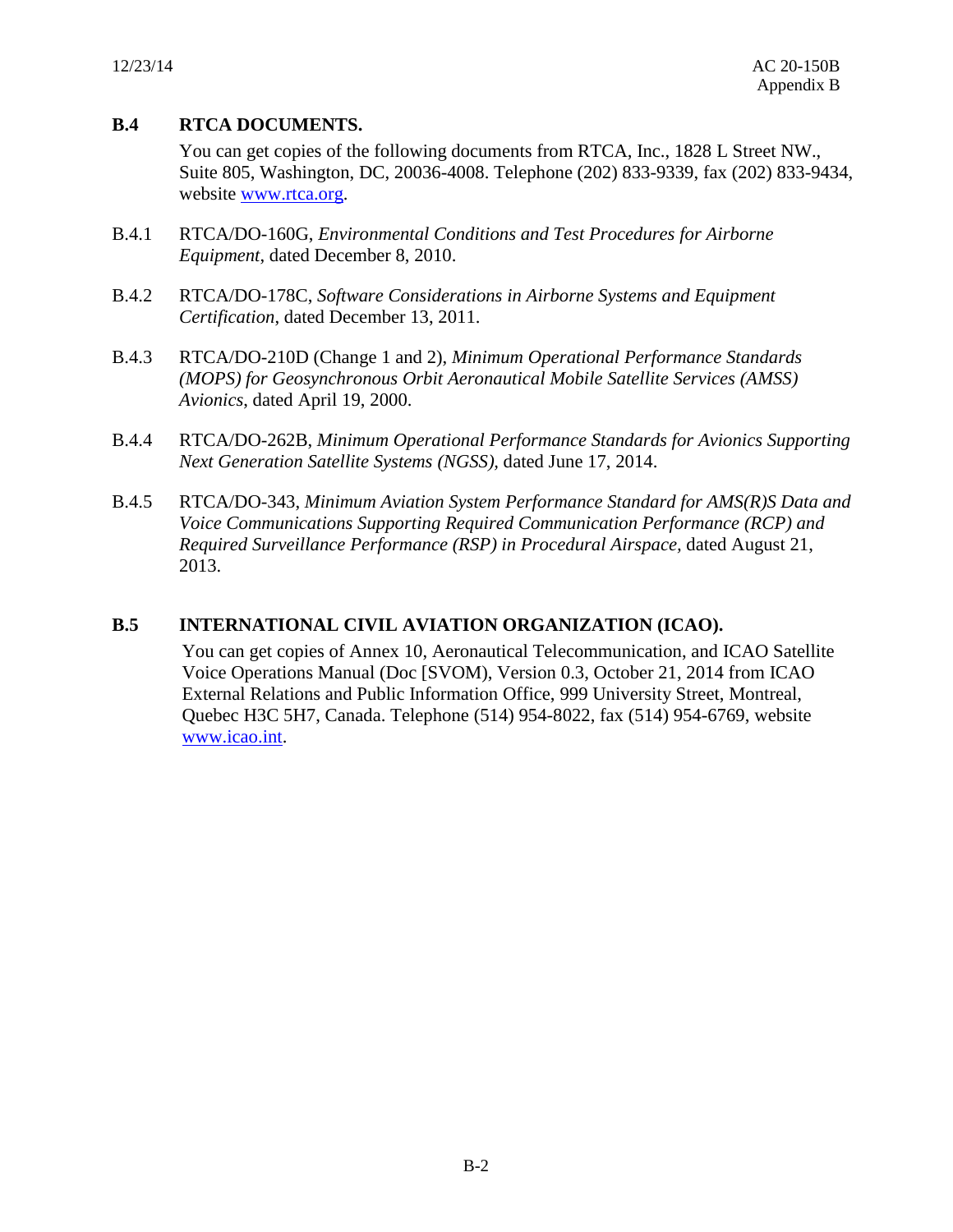## **B.4 RTCA DOCUMENTS.**

You can get copies of the following documents from RTCA, Inc., 1828 L Street NW., Suite 805, Washington, DC, 20036-4008. Telephone (202) 833-9339, fax (202) 833-9434, website [www.rtca.org.](http://www.rtca.org/)

- B.4.1 RTCA/DO-160G, *Environmental Conditions and Test Procedures for Airborne Equipment*, dated December 8, 2010.
- B.4.2 RTCA/DO-178C, *Software Considerations in Airborne Systems and Equipment Certification*, dated December 13, 2011.
- B.4.3 RTCA/DO-210D (Change 1 and 2), *Minimum Operational Performance Standards (MOPS) for Geosynchronous Orbit Aeronautical Mobile Satellite Services (AMSS) Avionics*, dated April 19, 2000.
- B.4.4 RTCA/DO-262B, *Minimum Operational Performance Standards for Avionics Supporting Next Generation Satellite Systems (NGSS),* dated June 17, 2014.
- B.4.5 RTCA/DO-343, *Minimum Aviation System Performance Standard for AMS(R)S Data and Voice Communications Supporting Required Communication Performance (RCP) and Required Surveillance Performance (RSP) in Procedural Airspace,* dated August 21, 2013.

## **B.5 INTERNATIONAL CIVIL AVIATION ORGANIZATION (ICAO).**

You can get copies of Annex 10, Aeronautical Telecommunication, and ICAO Satellite Voice Operations Manual (Doc [SVOM), Version 0.3, October 21, 2014 from ICAO External Relations and Public Information Office, 999 University Street, Montreal, Quebec H3C 5H7, Canada. Telephone (514) 954-8022, fax (514) 954-6769, website [www.icao.int.](http://www.icao.int/)